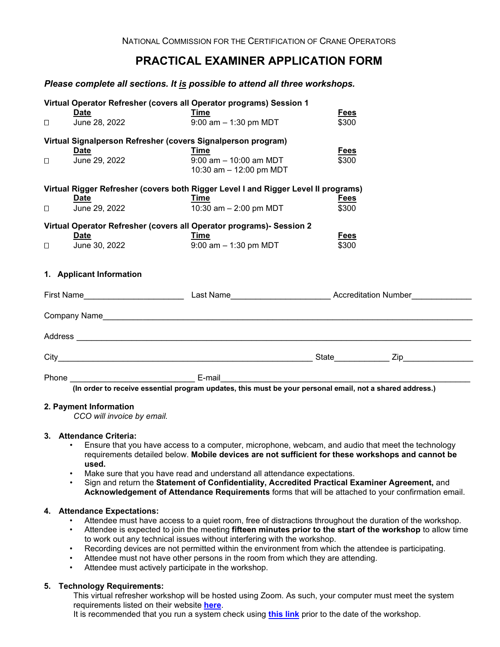# **PRACTICAL EXAMINER APPLICATION FORM**

## *Please complete all sections. It is possible to attend all three workshops.*

|                                                                      | Date                                                                                                                                                                                                                                                                                                                                             | Virtual Operator Refresher (covers all Operator programs) Session 1<br>Time                                    | <b>Fees</b>          |  |
|----------------------------------------------------------------------|--------------------------------------------------------------------------------------------------------------------------------------------------------------------------------------------------------------------------------------------------------------------------------------------------------------------------------------------------|----------------------------------------------------------------------------------------------------------------|----------------------|--|
| $\Box$                                                               | June 28, 2022                                                                                                                                                                                                                                                                                                                                    | $9:00$ am $-1:30$ pm MDT                                                                                       | \$300                |  |
|                                                                      | Virtual Signalperson Refresher (covers Signalperson program)                                                                                                                                                                                                                                                                                     |                                                                                                                |                      |  |
|                                                                      | Date                                                                                                                                                                                                                                                                                                                                             | Time                                                                                                           | Fees                 |  |
| $\Box$                                                               | June 29, 2022                                                                                                                                                                                                                                                                                                                                    | $9:00$ am $-10:00$ am MDT<br>10:30 am - 12:00 pm MDT                                                           | \$300                |  |
|                                                                      |                                                                                                                                                                                                                                                                                                                                                  | Virtual Rigger Refresher (covers both Rigger Level I and Rigger Level II programs)                             |                      |  |
| $\Box$                                                               | Date<br>June 29, 2022                                                                                                                                                                                                                                                                                                                            | Time<br>10:30 am $- 2:00$ pm MDT                                                                               | <b>Fees</b><br>\$300 |  |
| Virtual Operator Refresher (covers all Operator programs)- Session 2 |                                                                                                                                                                                                                                                                                                                                                  |                                                                                                                |                      |  |
|                                                                      | <u>Date</u>                                                                                                                                                                                                                                                                                                                                      | Time                                                                                                           | <b>Fees</b>          |  |
| $\Box$                                                               | June 30, 2022                                                                                                                                                                                                                                                                                                                                    | $9:00$ am $-1:30$ pm MDT                                                                                       | \$300                |  |
|                                                                      | 1. Applicant Information                                                                                                                                                                                                                                                                                                                         |                                                                                                                |                      |  |
|                                                                      |                                                                                                                                                                                                                                                                                                                                                  | First Name__________________________________Last Name_____________________________Accreditation Number________ |                      |  |
|                                                                      |                                                                                                                                                                                                                                                                                                                                                  |                                                                                                                |                      |  |
|                                                                      |                                                                                                                                                                                                                                                                                                                                                  |                                                                                                                |                      |  |
|                                                                      |                                                                                                                                                                                                                                                                                                                                                  |                                                                                                                |                      |  |
|                                                                      | Phone E-mail<br>$\alpha$ and $\alpha$ and $\alpha$ and $\alpha$ and $\alpha$ and $\alpha$ and $\alpha$ and $\alpha$ and $\alpha$ and $\alpha$ and $\alpha$ and $\alpha$ and $\alpha$ and $\alpha$ and $\alpha$ and $\alpha$ and $\alpha$ and $\alpha$ and $\alpha$ and $\alpha$ and $\alpha$ and $\alpha$ and $\alpha$ and $\alpha$ and $\alpha$ |                                                                                                                |                      |  |

 **(In order to receive essential program updates, this must be your personal email, not a shared address.)**

### **2. Payment Information**

*CCO will invoice by email.*

#### **3. Attendance Criteria:**

- Ensure that you have access to a computer, microphone, webcam, and audio that meet the technology requirements detailed below. **Mobile devices are not sufficient for these workshops and cannot be used.**
- Make sure that you have read and understand all attendance expectations.
- Sign and return the **Statement of Confidentiality, Accredited Practical Examiner Agreement,** and **Acknowledgement of Attendance Requirements** forms that will be attached to your confirmation email.

#### **4. Attendance Expectations:**

- Attendee must have access to a quiet room, free of distractions throughout the duration of the workshop.
- Attendee is expected to join the meeting **fifteen minutes prior to the start of the workshop** to allow time to work out any technical issues without interfering with the workshop.
- Recording devices are not permitted within the environment from which the attendee is participating.
- Attendee must not have other persons in the room from which they are attending.
- Attendee must actively participate in the workshop.

#### **5. Technology Requirements:**

This virtual refresher workshop will be hosted using Zoom. As such, your computer must meet the system requirements listed on their website **[here](https://support.zoom.us/hc/en-us/articles/201362023-System-requirements-for-Windows-macOS-and-Linux)**.

It is recommended that you run a system check using **[this link](https://zoom.us/test)** prior to the date of the workshop.